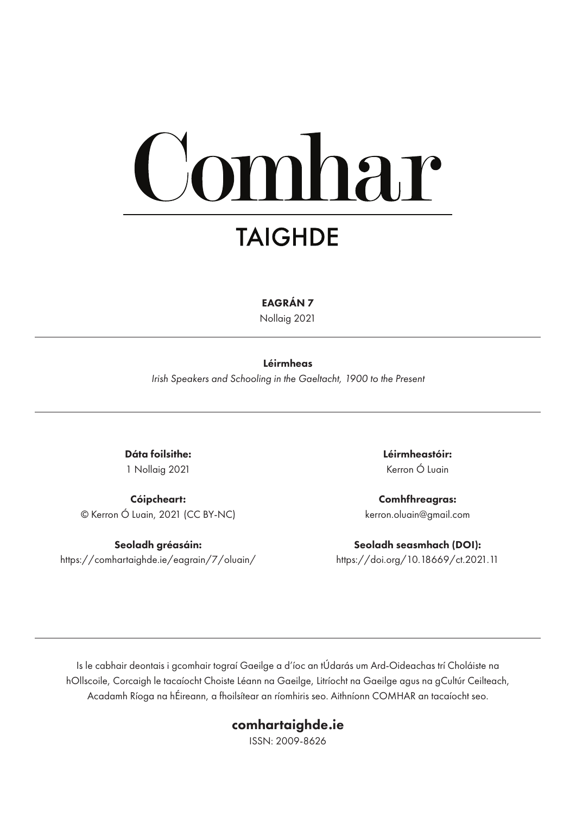# omhar **TAIGHDE**

EAGRÁN 7

Nollaig 2021

#### Léirmheas

*Irish Speakers and Schooling in the Gaeltacht, 1900 to the Present*

Dáta foilsithe: 1 Nollaig 2021

Cóipcheart: © Kerron Ó Luain, 2021 (CC BY-NC)

Seoladh gréasáin: https://comhartaighde.ie/eagrain/7/oluain/ Léirmheastóir: Kerron Ó Luain

Comhfhreagras: kerron.oluain@gmail.com

Seoladh seasmhach (DOI): https://doi.org/10.18669/ct.2021.11

Is le cabhair deontais i gcomhair tograí Gaeilge a d'íoc an tÚdarás um Ard-Oideachas trí Choláiste na hOllscoile, Corcaigh le tacaíocht Choiste Léann na Gaeilge, Litríocht na Gaeilge agus na gCultúr Ceilteach, Acadamh Ríoga na hÉireann, a fhoilsítear an ríomhiris seo. Aithníonn COMHAR an tacaíocht seo.

#### comhartaighde.ie

ISSN: 2009-8626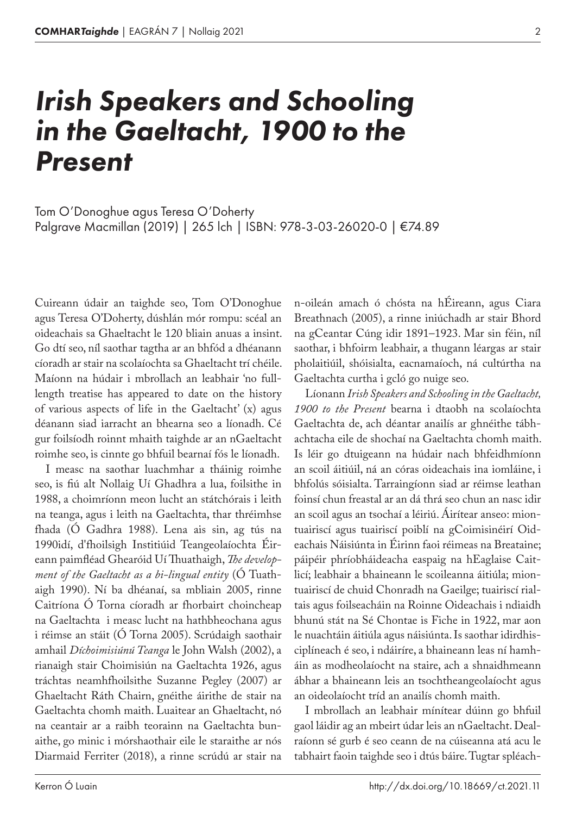## *Irish Speakers and Schooling in the Gaeltacht, 1900 to the Present*

Palgrave Macmillan (2019) | 265 lch | ISBN: 978-3-03-26020-0 | €74.89 Tom O'Donoghue agus Teresa O'Doherty

Cuireann údair an taighde seo, Tom O'Donoghue agus Teresa O'Doherty, dúshlán mór rompu: scéal an oideachais sa Ghaeltacht le 120 bliain anuas a insint. Go dtí seo, níl saothar tagtha ar an bhfód a dhéanann cíoradh ar stair na scolaíochta sa Ghaeltacht trí chéile. Maíonn na húdair i mbrollach an leabhair 'no fulllength treatise has appeared to date on the history of various aspects of life in the Gaeltacht' (x) agus déanann siad iarracht an bhearna seo a líonadh. Cé gur foilsíodh roinnt mhaith taighde ar an nGaeltacht roimhe seo, is cinnte go bhfuil bearnaí fós le líonadh.

I measc na saothar luachmhar a tháinig roimhe seo, is fiú alt Nollaig Uí Ghadhra a lua, foilsithe in 1988, a choimríonn meon lucht an státchórais i leith na teanga, agus i leith na Gaeltachta, thar thréimhse fhada (Ó Gadhra 1988). Lena ais sin, ag tús na 1990idí, d'fhoilsigh Institiúid Teangeolaíochta Éireann paimfléad Ghearóid Uí Thuathaigh, *The development of the Gaeltacht as a bi-lingual entity* (Ó Tuathaigh 1990). Ní ba dhéanaí, sa mbliain 2005, rinne Caitríona Ó Torna cíoradh ar fhorbairt choincheap na Gaeltachta i measc lucht na hathbheochana agus i réimse an stáit (Ó Torna 2005). Scrúdaigh saothair amhail *Díchoimisiúnú Teanga* le John Walsh (2002), a rianaigh stair Choimisiún na Gaeltachta 1926, agus tráchtas neamhfhoilsithe Suzanne Pegley (2007) ar Ghaeltacht Ráth Chairn, gnéithe áirithe de stair na Gaeltachta chomh maith. Luaitear an Ghaeltacht, nó na ceantair ar a raibh teorainn na Gaeltachta bunaithe, go minic i mórshaothair eile le staraithe ar nós Diarmaid Ferriter (2018), a rinne scrúdú ar stair na

n-oileán amach ó chósta na hÉireann, agus Ciara Breathnach (2005), a rinne iniúchadh ar stair Bhord na gCeantar Cúng idir 1891–1923. Mar sin féin, níl saothar, i bhfoirm leabhair, a thugann léargas ar stair pholaitiúil, shóisialta, eacnamaíoch, ná cultúrtha na Gaeltachta curtha i gcló go nuige seo.

Líonann *Irish Speakers and Schooling in the Gaeltacht, 1900 to the Present* bearna i dtaobh na scolaíochta Gaeltachta de, ach déantar anailís ar ghnéithe tábhachtacha eile de shochaí na Gaeltachta chomh maith. Is léir go dtuigeann na húdair nach bhfeidhmíonn an scoil áitiúil, ná an córas oideachais ina iomláine, i bhfolús sóisialta. Tarraingíonn siad ar réimse leathan foinsí chun freastal ar an dá thrá seo chun an nasc idir an scoil agus an tsochaí a léiriú. Áirítear anseo: miontuairiscí agus tuairiscí poiblí na gCoimisinéirí Oideachais Náisiúnta in Éirinn faoi réimeas na Breataine; páipéir phríobháideacha easpaig na hEaglaise Caitlicí; leabhair a bhaineann le scoileanna áitiúla; miontuairiscí de chuid Chonradh na Gaeilge; tuairiscí rialtais agus foilseacháin na Roinne Oideachais i ndiaidh bhunú stát na Sé Chontae is Fiche in 1922, mar aon le nuachtáin áitiúla agus náisiúnta. Is saothar idirdhisciplíneach é seo, i ndáiríre, a bhaineann leas ní hamháin as modheolaíocht na staire, ach a shnaidhmeann ábhar a bhaineann leis an tsochtheangeolaíocht agus an oideolaíocht tríd an anailís chomh maith.

I mbrollach an leabhair mínítear dúinn go bhfuil gaol láidir ag an mbeirt údar leis an nGaeltacht. Dealraíonn sé gurb é seo ceann de na cúiseanna atá acu le tabhairt faoin taighde seo i dtús báire. Tugtar spléach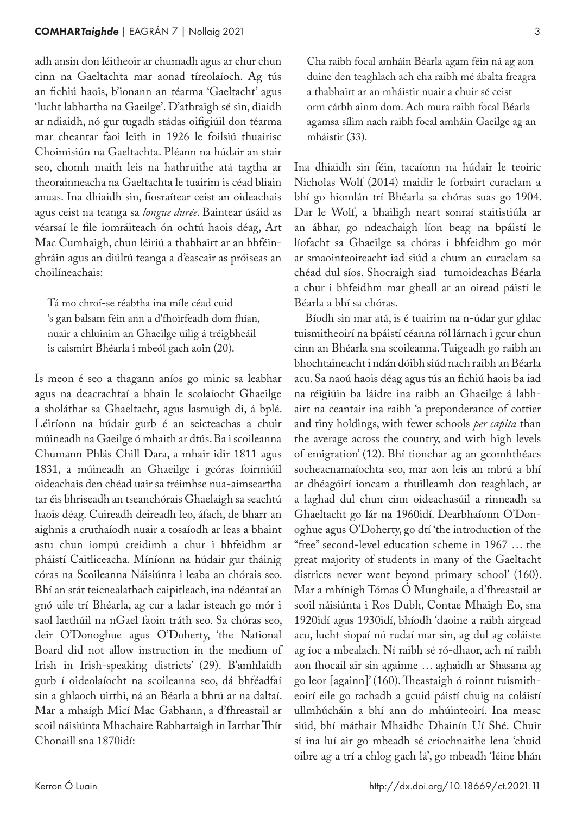adh ansin don léitheoir ar chumadh agus ar chur chun cinn na Gaeltachta mar aonad tíreolaíoch. Ag tús an fichiú haois, b'ionann an téarma 'Gaeltacht' agus 'lucht labhartha na Gaeilge'. D'athraigh sé sin, diaidh ar ndiaidh, nó gur tugadh stádas oifigiúil don téarma mar cheantar faoi leith in 1926 le foilsiú thuairisc Choimisiún na Gaeltachta. Pléann na húdair an stair seo, chomh maith leis na hathruithe atá tagtha ar theorainneacha na Gaeltachta le tuairim is céad bliain anuas. Ina dhiaidh sin, fiosraítear ceist an oideachais agus ceist na teanga sa *longue durée*. Baintear úsáid as véarsaí le file iomráiteach ón ochtú haois déag, Art Mac Cumhaigh, chun léiriú a thabhairt ar an bhféinghráin agus an diúltú teanga a d'eascair as próiseas an choilíneachais:

Tá mo chroí-se réabtha ina míle céad cuid 's gan balsam féin ann a d'fhoirfeadh dom fhían, nuair a chluinim an Ghaeilge uilig á tréigbheáil is caismirt Bhéarla i mbeól gach aoin (20).

Is meon é seo a thagann aníos go minic sa leabhar agus na deacrachtaí a bhain le scolaíocht Ghaeilge a sholáthar sa Ghaeltacht, agus lasmuigh di, á bplé. Léiríonn na húdair gurb é an seicteachas a chuir múineadh na Gaeilge ó mhaith ar dtús. Ba i scoileanna Chumann Phlás Chill Dara, a mhair idir 1811 agus 1831, a múineadh an Ghaeilge i gcóras foirmiúil oideachais den chéad uair sa tréimhse nua-aimseartha tar éis bhriseadh an tseanchórais Ghaelaigh sa seachtú haois déag. Cuireadh deireadh leo, áfach, de bharr an aighnis a cruthaíodh nuair a tosaíodh ar leas a bhaint astu chun iompú creidimh a chur i bhfeidhm ar pháistí Caitliceacha. Míníonn na húdair gur tháinig córas na Scoileanna Náisiúnta i leaba an chórais seo. Bhí an stát teicnealathach caipitleach, ina ndéantaí an gnó uile trí Bhéarla, ag cur a ladar isteach go mór i saol laethúil na nGael faoin tráth seo. Sa chóras seo, deir O'Donoghue agus O'Doherty, 'the National Board did not allow instruction in the medium of Irish in Irish-speaking districts' (29). B'amhlaidh gurb í oideolaíocht na scoileanna seo, dá bhféadfaí sin a ghlaoch uirthi, ná an Béarla a bhrú ar na daltaí. Mar a mhaígh Micí Mac Gabhann, a d'fhreastail ar scoil náisiúnta Mhachaire Rabhartaigh in Iarthar Thír Chonaill sna 1870idí:

Cha raibh focal amháin Béarla agam féin ná ag aon duine den teaghlach ach cha raibh mé ábalta freagra a thabhairt ar an mháistir nuair a chuir sé ceist orm cárbh ainm dom. Ach mura raibh focal Béarla agamsa sílim nach raibh focal amháin Gaeilge ag an mháistir (33).

Ina dhiaidh sin féin, tacaíonn na húdair le teoiric Nicholas Wolf (2014) maidir le forbairt curaclam a bhí go hiomlán trí Bhéarla sa chóras suas go 1904. Dar le Wolf, a bhailigh neart sonraí staitistiúla ar an ábhar, go ndeachaigh líon beag na bpáistí le líofacht sa Ghaeilge sa chóras i bhfeidhm go mór ar smaointeoireacht iad siúd a chum an curaclam sa chéad dul síos. Shocraigh siad tumoideachas Béarla a chur i bhfeidhm mar gheall ar an oiread páistí le Béarla a bhí sa chóras.

Bíodh sin mar atá, is é tuairim na n-údar gur ghlac tuismitheoirí na bpáistí céanna ról lárnach i gcur chun cinn an Bhéarla sna scoileanna. Tuigeadh go raibh an bhochtaineacht i ndán dóibh siúd nach raibh an Béarla acu. Sa naoú haois déag agus tús an fichiú haois ba iad na réigiúin ba láidre ina raibh an Ghaeilge á labhairt na ceantair ina raibh 'a preponderance of cottier and tiny holdings, with fewer schools *per capita* than the average across the country, and with high levels of emigration' (12). Bhí tionchar ag an gcomhthéacs socheacnamaíochta seo, mar aon leis an mbrú a bhí ar dhéagóirí ioncam a thuilleamh don teaghlach, ar a laghad dul chun cinn oideachasúil a rinneadh sa Ghaeltacht go lár na 1960idí. Dearbhaíonn O'Donoghue agus O'Doherty, go dtí 'the introduction of the "free" second-level education scheme in 1967 … the great majority of students in many of the Gaeltacht districts never went beyond primary school' (160). Mar a mhínigh Tómas Ó Munghaile, a d'fhreastail ar scoil náisiúnta i Ros Dubh, Contae Mhaigh Eo, sna 1920idí agus 1930idí, bhíodh 'daoine a raibh airgead acu, lucht siopaí nó rudaí mar sin, ag dul ag coláiste ag íoc a mbealach. Ní raibh sé ró-dhaor, ach ní raibh aon fhocail air sin againne … aghaidh ar Shasana ag go leor [againn]' (160). Theastaigh ó roinnt tuismitheoirí eile go rachadh a gcuid páistí chuig na coláistí ullmhúcháin a bhí ann do mhúinteoirí. Ina measc siúd, bhí máthair Mhaidhc Dhainín Uí Shé. Chuir sí ina luí air go mbeadh sé críochnaithe lena 'chuid oibre ag a trí a chlog gach lá', go mbeadh 'léine bhán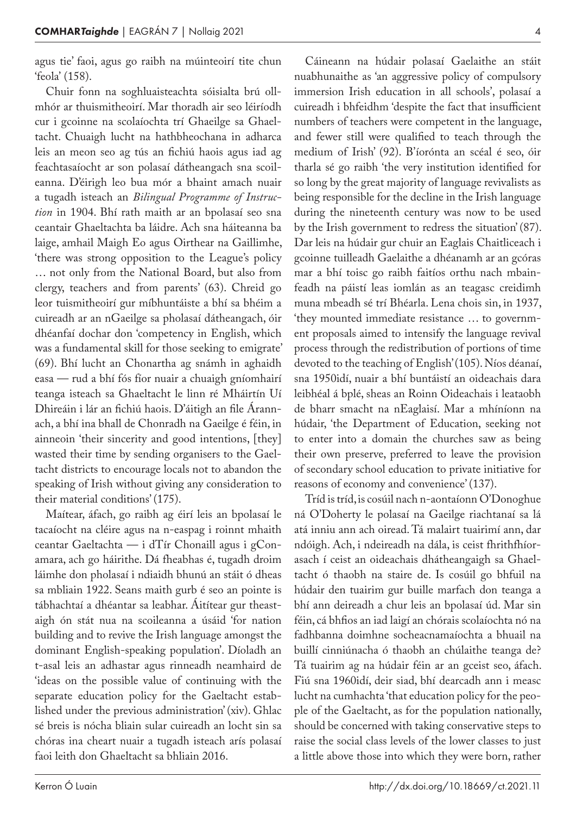agus tie' faoi, agus go raibh na múinteoirí tite chun 'feola' (158).

Chuir fonn na soghluaisteachta sóisialta brú ollmhór ar thuismitheoirí. Mar thoradh air seo léiríodh cur i gcoinne na scolaíochta trí Ghaeilge sa Ghaeltacht. Chuaigh lucht na hathbheochana in adharca leis an meon seo ag tús an fichiú haois agus iad ag feachtasaíocht ar son polasaí dátheangach sna scoileanna. D'éirigh leo bua mór a bhaint amach nuair a tugadh isteach an *Bilingual Programme of Instruction* in 1904. Bhí rath maith ar an bpolasaí seo sna ceantair Ghaeltachta ba láidre. Ach sna háiteanna ba laige, amhail Maigh Eo agus Oirthear na Gaillimhe, 'there was strong opposition to the League's policy … not only from the National Board, but also from clergy, teachers and from parents' (63). Chreid go leor tuismitheoirí gur míbhuntáiste a bhí sa bhéim a cuireadh ar an nGaeilge sa pholasaí dátheangach, óir dhéanfaí dochar don 'competency in English, which was a fundamental skill for those seeking to emigrate' (69). Bhí lucht an Chonartha ag snámh in aghaidh easa — rud a bhí fós fíor nuair a chuaigh gníomhairí teanga isteach sa Ghaeltacht le linn ré Mháirtín Uí Dhireáin i lár an fichiú haois. D'áitigh an file Árannach, a bhí ina bhall de Chonradh na Gaeilge é féin, in ainneoin 'their sincerity and good intentions, [they] wasted their time by sending organisers to the Gaeltacht districts to encourage locals not to abandon the speaking of Irish without giving any consideration to their material conditions' (175).

Maítear, áfach, go raibh ag éirí leis an bpolasaí le tacaíocht na cléire agus na n-easpag i roinnt mhaith ceantar Gaeltachta — i dTír Chonaill agus i gConamara, ach go háirithe. Dá fheabhas é, tugadh droim láimhe don pholasaí i ndiaidh bhunú an stáit ó dheas sa mbliain 1922. Seans maith gurb é seo an pointe is tábhachtaí a dhéantar sa leabhar. Áitítear gur theastaigh ón stát nua na scoileanna a úsáid 'for nation building and to revive the Irish language amongst the dominant English-speaking population'. Díoladh an t-asal leis an adhastar agus rinneadh neamhaird de 'ideas on the possible value of continuing with the separate education policy for the Gaeltacht established under the previous administration' (xiv). Ghlac sé breis is nócha bliain sular cuireadh an locht sin sa chóras ina cheart nuair a tugadh isteach arís polasaí faoi leith don Ghaeltacht sa bhliain 2016.

Cáineann na húdair polasaí Gaelaithe an stáit nuabhunaithe as 'an aggressive policy of compulsory immersion Irish education in all schools', polasaí a cuireadh i bhfeidhm 'despite the fact that insufficient numbers of teachers were competent in the language, and fewer still were qualified to teach through the medium of Irish' (92). B'íorónta an scéal é seo, óir tharla sé go raibh 'the very institution identified for so long by the great majority of language revivalists as being responsible for the decline in the Irish language during the nineteenth century was now to be used by the Irish government to redress the situation' (87). Dar leis na húdair gur chuir an Eaglais Chaitliceach i gcoinne tuilleadh Gaelaithe a dhéanamh ar an gcóras mar a bhí toisc go raibh faitíos orthu nach mbainfeadh na páistí leas iomlán as an teagasc creidimh muna mbeadh sé trí Bhéarla. Lena chois sin, in 1937, 'they mounted immediate resistance … to government proposals aimed to intensify the language revival process through the redistribution of portions of time devoted to the teaching of English' (105). Níos déanaí, sna 1950idí, nuair a bhí buntáistí an oideachais dara leibhéal á bplé, sheas an Roinn Oideachais i leataobh de bharr smacht na nEaglaisí. Mar a mhíníonn na húdair, 'the Department of Education, seeking not to enter into a domain the churches saw as being their own preserve, preferred to leave the provision of secondary school education to private initiative for reasons of economy and convenience' (137).

Tríd is tríd, is cosúil nach n-aontaíonn O'Donoghue ná O'Doherty le polasaí na Gaeilge riachtanaí sa lá atá inniu ann ach oiread. Tá malairt tuairimí ann, dar ndóigh. Ach, i ndeireadh na dála, is ceist fhrithfhíorasach í ceist an oideachais dhátheangaigh sa Ghaeltacht ó thaobh na staire de. Is cosúil go bhfuil na húdair den tuairim gur buille marfach don teanga a bhí ann deireadh a chur leis an bpolasaí úd. Mar sin féin, cá bhfios an iad laigí an chórais scolaíochta nó na fadhbanna doimhne socheacnamaíochta a bhuail na buillí cinniúnacha ó thaobh an chúlaithe teanga de? Tá tuairim ag na húdair féin ar an gceist seo, áfach. Fiú sna 1960idí, deir siad, bhí dearcadh ann i measc lucht na cumhachta 'that education policy for the people of the Gaeltacht, as for the population nationally, should be concerned with taking conservative steps to raise the social class levels of the lower classes to just a little above those into which they were born, rather